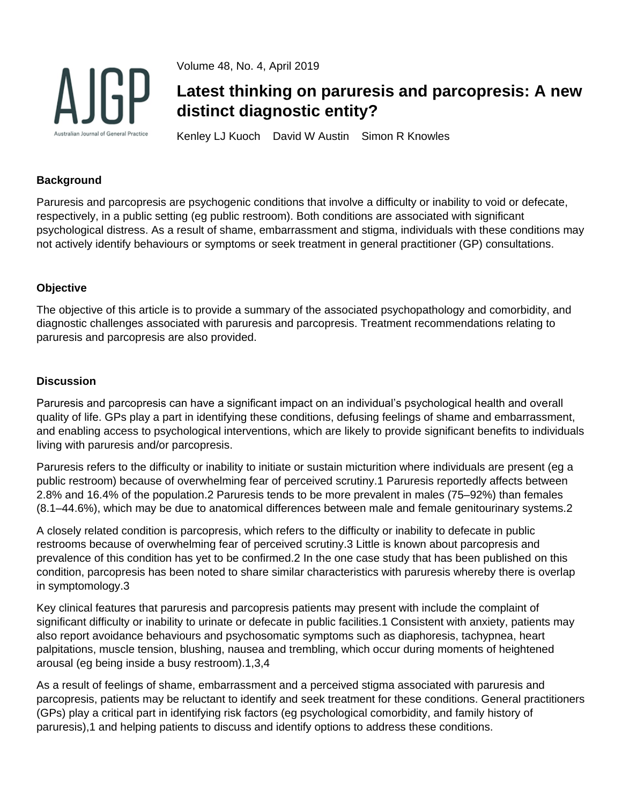

Volume 48, No. 4, April 2019

# **Latest thinking on paruresis and parcopresis: A new distinct diagnostic entity?**

Kenley LJ Kuoch David W Austin Simon R Knowles

# **Background**

Paruresis and parcopresis are psychogenic conditions that involve a difficulty or inability to void or defecate, respectively, in a public setting (eg public restroom). Both conditions are associated with significant psychological distress. As a result of shame, embarrassment and stigma, individuals with these conditions may not actively identify behaviours or symptoms or seek treatment in general practitioner (GP) consultations.

## **Objective**

The objective of this article is to provide a summary of the associated psychopathology and comorbidity, and diagnostic challenges associated with paruresis and parcopresis. Treatment recommendations relating to paruresis and parcopresis are also provided.

### **Discussion**

Paruresis and parcopresis can have a significant impact on an individual's psychological health and overall quality of life. GPs play a part in identifying these conditions, defusing feelings of shame and embarrassment, and enabling access to psychological interventions, which are likely to provide significant benefits to individuals living with paruresis and/or parcopresis.

Paruresis refers to the difficulty or inability to initiate or sustain micturition where individuals are present (eg a public restroom) because of overwhelming fear of perceived scrutiny.1 Paruresis reportedly affects between 2.8% and 16.4% of the population.2 Paruresis tends to be more prevalent in males (75–92%) than females (8.1–44.6%), which may be due to anatomical differences between male and female genitourinary systems.2

A closely related condition is parcopresis, which refers to the difficulty or inability to defecate in public restrooms because of overwhelming fear of perceived scrutiny.3 Little is known about parcopresis and prevalence of this condition has yet to be confirmed.2 In the one case study that has been published on this condition, parcopresis has been noted to share similar characteristics with paruresis whereby there is overlap in symptomology.3

Key clinical features that paruresis and parcopresis patients may present with include the complaint of significant difficulty or inability to urinate or defecate in public facilities.1 Consistent with anxiety, patients may also report avoidance behaviours and psychosomatic symptoms such as diaphoresis, tachypnea, heart palpitations, muscle tension, blushing, nausea and trembling, which occur during moments of heightened arousal (eg being inside a busy restroom).1,3,4

As a result of feelings of shame, embarrassment and a perceived stigma associated with paruresis and parcopresis, patients may be reluctant to identify and seek treatment for these conditions. General practitioners (GPs) play a critical part in identifying risk factors (eg psychological comorbidity, and family history of paruresis),1 and helping patients to discuss and identify options to address these conditions.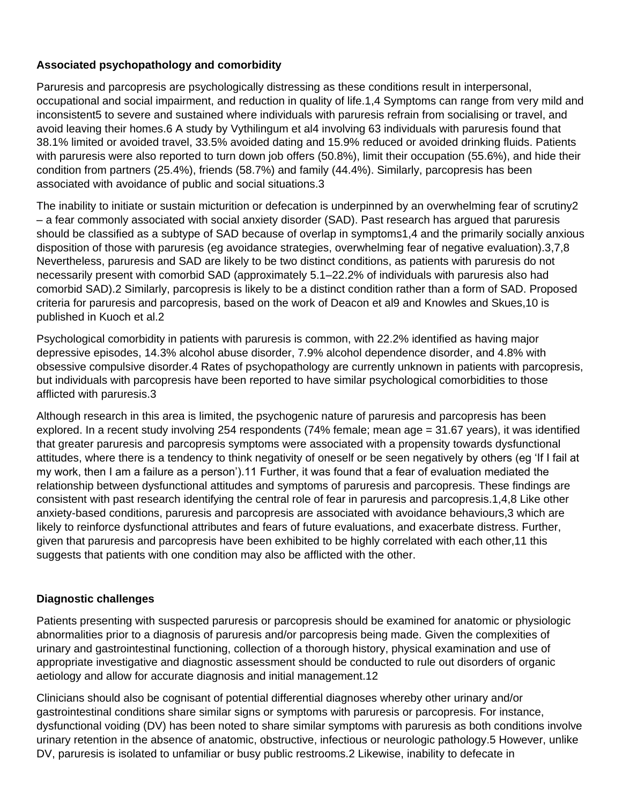# **Associated psychopathology and comorbidity**

Paruresis and parcopresis are psychologically distressing as these conditions result in interpersonal, occupational and social impairment, and reduction in quality of life.1,4 Symptoms can range from very mild and inconsistent5 to severe and sustained where individuals with paruresis refrain from socialising or travel, and avoid leaving their homes.6 A study by Vythilingum et al4 involving 63 individuals with paruresis found that 38.1% limited or avoided travel, 33.5% avoided dating and 15.9% reduced or avoided drinking fluids. Patients with paruresis were also reported to turn down job offers (50.8%), limit their occupation (55.6%), and hide their condition from partners (25.4%), friends (58.7%) and family (44.4%). Similarly, parcopresis has been associated with avoidance of public and social situations.3

The inability to initiate or sustain micturition or defecation is underpinned by an overwhelming fear of scrutiny2 – a fear commonly associated with social anxiety disorder (SAD). Past research has argued that paruresis should be classified as a subtype of SAD because of overlap in symptoms1,4 and the primarily socially anxious disposition of those with paruresis (eg avoidance strategies, overwhelming fear of negative evaluation).3,7,8 Nevertheless, paruresis and SAD are likely to be two distinct conditions, as patients with paruresis do not necessarily present with comorbid SAD (approximately 5.1–22.2% of individuals with paruresis also had comorbid SAD).2 Similarly, parcopresis is likely to be a distinct condition rather than a form of SAD. Proposed criteria for paruresis and parcopresis, based on the work of Deacon et al9 and Knowles and Skues,10 is published in Kuoch et al.2

Psychological comorbidity in patients with paruresis is common, with 22.2% identified as having major depressive episodes, 14.3% alcohol abuse disorder, 7.9% alcohol dependence disorder, and 4.8% with obsessive compulsive disorder.4 Rates of psychopathology are currently unknown in patients with parcopresis, but individuals with parcopresis have been reported to have similar psychological comorbidities to those afflicted with paruresis.3

Although research in this area is limited, the psychogenic nature of paruresis and parcopresis has been explored. In a recent study involving 254 respondents (74% female; mean age = 31.67 years), it was identified that greater paruresis and parcopresis symptoms were associated with a propensity towards dysfunctional attitudes, where there is a tendency to think negativity of oneself or be seen negatively by others (eg 'If I fail at my work, then I am a failure as a person').11 Further, it was found that a fear of evaluation mediated the relationship between dysfunctional attitudes and symptoms of paruresis and parcopresis. These findings are consistent with past research identifying the central role of fear in paruresis and parcopresis.1,4,8 Like other anxiety-based conditions, paruresis and parcopresis are associated with avoidance behaviours,3 which are likely to reinforce dysfunctional attributes and fears of future evaluations, and exacerbate distress. Further, given that paruresis and parcopresis have been exhibited to be highly correlated with each other,11 this suggests that patients with one condition may also be afflicted with the other.

# **Diagnostic challenges**

Patients presenting with suspected paruresis or parcopresis should be examined for anatomic or physiologic abnormalities prior to a diagnosis of paruresis and/or parcopresis being made. Given the complexities of urinary and gastrointestinal functioning, collection of a thorough history, physical examination and use of appropriate investigative and diagnostic assessment should be conducted to rule out disorders of organic aetiology and allow for accurate diagnosis and initial management.12

Clinicians should also be cognisant of potential differential diagnoses whereby other urinary and/or gastrointestinal conditions share similar signs or symptoms with paruresis or parcopresis. For instance, dysfunctional voiding (DV) has been noted to share similar symptoms with paruresis as both conditions involve urinary retention in the absence of anatomic, obstructive, infectious or neurologic pathology.5 However, unlike DV, paruresis is isolated to unfamiliar or busy public restrooms.2 Likewise, inability to defecate in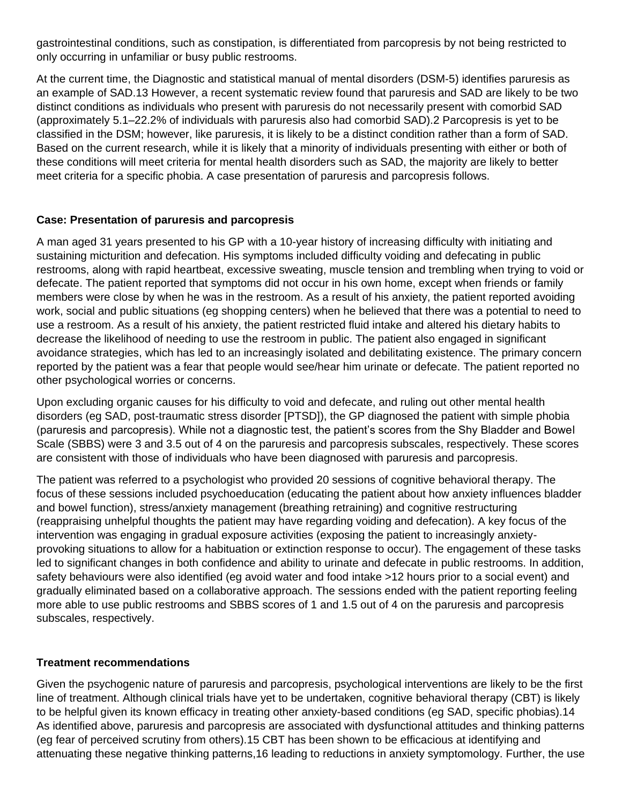gastrointestinal conditions, such as constipation, is differentiated from parcopresis by not being restricted to only occurring in unfamiliar or busy public restrooms.

At the current time, the Diagnostic and statistical manual of mental disorders (DSM-5) identifies paruresis as an example of SAD.13 However, a recent systematic review found that paruresis and SAD are likely to be two distinct conditions as individuals who present with paruresis do not necessarily present with comorbid SAD (approximately 5.1–22.2% of individuals with paruresis also had comorbid SAD).2 Parcopresis is yet to be classified in the DSM; however, like paruresis, it is likely to be a distinct condition rather than a form of SAD. Based on the current research, while it is likely that a minority of individuals presenting with either or both of these conditions will meet criteria for mental health disorders such as SAD, the majority are likely to better meet criteria for a specific phobia. A case presentation of paruresis and parcopresis follows.

## **Case: Presentation of paruresis and parcopresis**

A man aged 31 years presented to his GP with a 10-year history of increasing difficulty with initiating and sustaining micturition and defecation. His symptoms included difficulty voiding and defecating in public restrooms, along with rapid heartbeat, excessive sweating, muscle tension and trembling when trying to void or defecate. The patient reported that symptoms did not occur in his own home, except when friends or family members were close by when he was in the restroom. As a result of his anxiety, the patient reported avoiding work, social and public situations (eg shopping centers) when he believed that there was a potential to need to use a restroom. As a result of his anxiety, the patient restricted fluid intake and altered his dietary habits to decrease the likelihood of needing to use the restroom in public. The patient also engaged in significant avoidance strategies, which has led to an increasingly isolated and debilitating existence. The primary concern reported by the patient was a fear that people would see/hear him urinate or defecate. The patient reported no other psychological worries or concerns.

Upon excluding organic causes for his difficulty to void and defecate, and ruling out other mental health disorders (eg SAD, post-traumatic stress disorder [PTSD]), the GP diagnosed the patient with simple phobia (paruresis and parcopresis). While not a diagnostic test, the patient's scores from the Shy Bladder and Bowel Scale (SBBS) were 3 and 3.5 out of 4 on the paruresis and parcopresis subscales, respectively. These scores are consistent with those of individuals who have been diagnosed with paruresis and parcopresis.

The patient was referred to a psychologist who provided 20 sessions of cognitive behavioral therapy. The focus of these sessions included psychoeducation (educating the patient about how anxiety influences bladder and bowel function), stress/anxiety management (breathing retraining) and cognitive restructuring (reappraising unhelpful thoughts the patient may have regarding voiding and defecation). A key focus of the intervention was engaging in gradual exposure activities (exposing the patient to increasingly anxietyprovoking situations to allow for a habituation or extinction response to occur). The engagement of these tasks led to significant changes in both confidence and ability to urinate and defecate in public restrooms. In addition, safety behaviours were also identified (eg avoid water and food intake >12 hours prior to a social event) and gradually eliminated based on a collaborative approach. The sessions ended with the patient reporting feeling more able to use public restrooms and SBBS scores of 1 and 1.5 out of 4 on the paruresis and parcopresis subscales, respectively.

### **Treatment recommendations**

Given the psychogenic nature of paruresis and parcopresis, psychological interventions are likely to be the first line of treatment. Although clinical trials have yet to be undertaken, cognitive behavioral therapy (CBT) is likely to be helpful given its known efficacy in treating other anxiety-based conditions (eg SAD, specific phobias).14 As identified above, paruresis and parcopresis are associated with dysfunctional attitudes and thinking patterns (eg fear of perceived scrutiny from others).15 CBT has been shown to be efficacious at identifying and attenuating these negative thinking patterns,16 leading to reductions in anxiety symptomology. Further, the use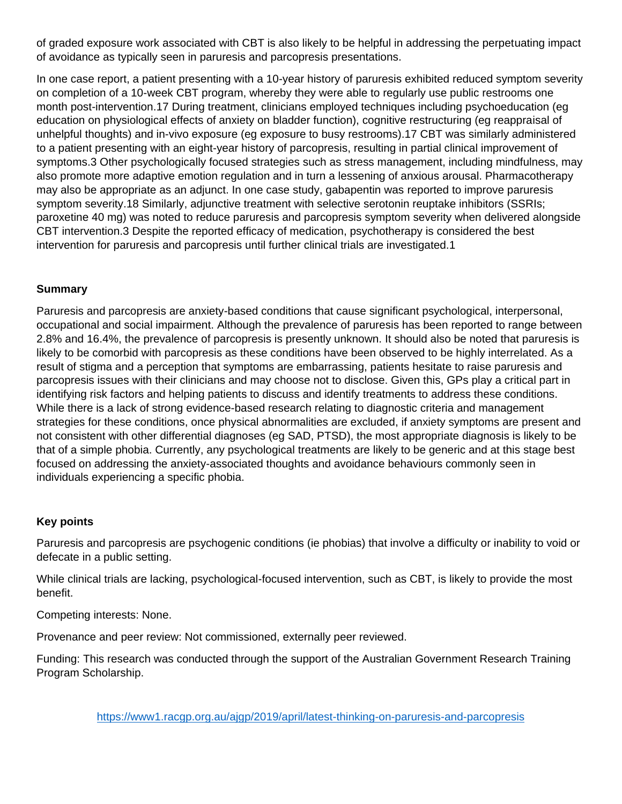of graded exposure work associated with CBT is also likely to be helpful in addressing the perpetuating impact of avoidance as typically seen in paruresis and parcopresis presentations.

In one case report, a patient presenting with a 10-year history of paruresis exhibited reduced symptom severity on completion of a 10-week CBT program, whereby they were able to regularly use public restrooms one month post-intervention.17 During treatment, clinicians employed techniques including psychoeducation (eg education on physiological effects of anxiety on bladder function), cognitive restructuring (eg reappraisal of unhelpful thoughts) and in-vivo exposure (eg exposure to busy restrooms).17 CBT was similarly administered to a patient presenting with an eight-year history of parcopresis, resulting in partial clinical improvement of symptoms.3 Other psychologically focused strategies such as stress management, including mindfulness, may also promote more adaptive emotion regulation and in turn a lessening of anxious arousal. Pharmacotherapy may also be appropriate as an adjunct. In one case study, gabapentin was reported to improve paruresis symptom severity.18 Similarly, adjunctive treatment with selective serotonin reuptake inhibitors (SSRIs; paroxetine 40 mg) was noted to reduce paruresis and parcopresis symptom severity when delivered alongside CBT intervention.3 Despite the reported efficacy of medication, psychotherapy is considered the best intervention for paruresis and parcopresis until further clinical trials are investigated.1

## **Summary**

Paruresis and parcopresis are anxiety-based conditions that cause significant psychological, interpersonal, occupational and social impairment. Although the prevalence of paruresis has been reported to range between 2.8% and 16.4%, the prevalence of parcopresis is presently unknown. It should also be noted that paruresis is likely to be comorbid with parcopresis as these conditions have been observed to be highly interrelated. As a result of stigma and a perception that symptoms are embarrassing, patients hesitate to raise paruresis and parcopresis issues with their clinicians and may choose not to disclose. Given this, GPs play a critical part in identifying risk factors and helping patients to discuss and identify treatments to address these conditions. While there is a lack of strong evidence-based research relating to diagnostic criteria and management strategies for these conditions, once physical abnormalities are excluded, if anxiety symptoms are present and not consistent with other differential diagnoses (eg SAD, PTSD), the most appropriate diagnosis is likely to be that of a simple phobia. Currently, any psychological treatments are likely to be generic and at this stage best focused on addressing the anxiety-associated thoughts and avoidance behaviours commonly seen in individuals experiencing a specific phobia.

### **Key points**

Paruresis and parcopresis are psychogenic conditions (ie phobias) that involve a difficulty or inability to void or defecate in a public setting.

While clinical trials are lacking, psychological-focused intervention, such as CBT, is likely to provide the most benefit.

Competing interests: None.

Provenance and peer review: Not commissioned, externally peer reviewed.

Funding: This research was conducted through the support of the Australian Government Research Training Program Scholarship.